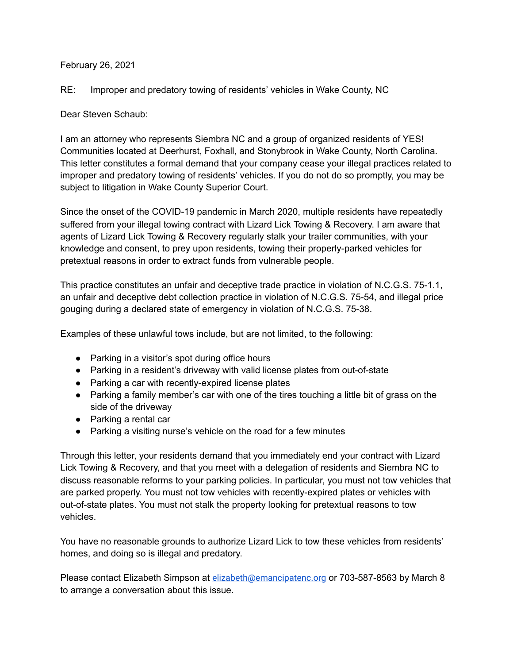## February 26, 2021

RE: Improper and predatory towing of residents' vehicles in Wake County, NC

Dear Steven Schaub:

I am an attorney who represents Siembra NC and a group of organized residents of YES! Communities located at Deerhurst, Foxhall, and Stonybrook in Wake County, North Carolina. This letter constitutes a formal demand that your company cease your illegal practices related to improper and predatory towing of residents' vehicles. If you do not do so promptly, you may be subject to litigation in Wake County Superior Court.

Since the onset of the COVID-19 pandemic in March 2020, multiple residents have repeatedly suffered from your illegal towing contract with Lizard Lick Towing & Recovery. I am aware that agents of Lizard Lick Towing & Recovery regularly stalk your trailer communities, with your knowledge and consent, to prey upon residents, towing their properly-parked vehicles for pretextual reasons in order to extract funds from vulnerable people.

This practice constitutes an unfair and deceptive trade practice in violation of N.C.G.S. 75-1.1, an unfair and deceptive debt collection practice in violation of N.C.G.S. 75-54, and illegal price gouging during a declared state of emergency in violation of N.C.G.S. 75-38.

Examples of these unlawful tows include, but are not limited, to the following:

- Parking in a visitor's spot during office hours
- Parking in a resident's driveway with valid license plates from out-of-state
- Parking a car with recently-expired license plates
- Parking a family member's car with one of the tires touching a little bit of grass on the side of the driveway
- Parking a rental car
- Parking a visiting nurse's vehicle on the road for a few minutes

Through this letter, your residents demand that you immediately end your contract with Lizard Lick Towing & Recovery, and that you meet with a delegation of residents and Siembra NC to discuss reasonable reforms to your parking policies. In particular, you must not tow vehicles that are parked properly. You must not tow vehicles with recently-expired plates or vehicles with out-of-state plates. You must not stalk the property looking for pretextual reasons to tow vehicles.

You have no reasonable grounds to authorize Lizard Lick to tow these vehicles from residents' homes, and doing so is illegal and predatory.

Please contact Elizabeth Simpson at [elizabeth@emancipatenc.org](mailto:elizabeth@emancipatenc.org) or 703-587-8563 by March 8 to arrange a conversation about this issue.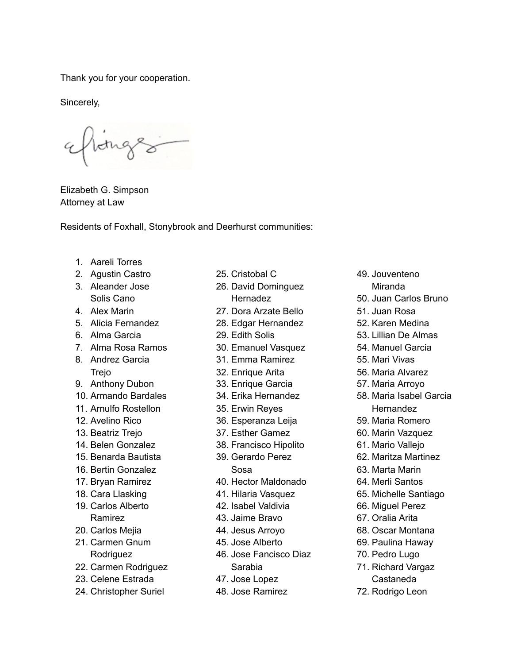Thank you for your cooperation.

Sincerely,

tothe

Elizabeth G. Simpson Attorney at Law

Residents of Foxhall, Stonybrook and Deerhurst communities:

- 1. Aareli Torres
- 2. Agustin Castro
- 3. Aleander Jose Solis Cano
- 4. Alex Marin
- 5. Alicia Fernandez
- 6. Alma Garcia
- 7. Alma Rosa Ramos
- 8. Andrez Garcia Trejo
- 9. Anthony Dubon
- 10. Armando Bardales
- 11. Arnulfo Rostellon
- 12. Avelino Rico
- 13. Beatriz Trejo
- 14. Belen Gonzalez
- 15. Benarda Bautista
- 16. Bertin Gonzalez
- 17. Bryan Ramirez
- 18. Cara Llasking
- 19. Carlos Alberto Ramirez
- 20. Carlos Mejia
- 21. Carmen Gnum Rodriguez
- 22. Carmen Rodriguez
- 23. Celene Estrada
- 24. Christopher Suriel
- 25. Cristobal C
- 26. David Dominguez Hernadez
- 27. Dora Arzate Bello
- 28. Edgar Hernandez
- 29. Edith Solis
- 30. Emanuel Vasquez
- 31. Emma Ramirez
- 32. Enrique Arita
- 33. Enrique Garcia
- 34. Erika Hernandez
- 35. Erwin Reyes
- 36. Esperanza Leija
- 37. Esther Gamez
- 38. Francisco Hipolito
- 39. Gerardo Perez Sosa
- 40. Hector Maldonado
- 41. Hilaria Vasquez
- 42. Isabel Valdivia
- 43. Jaime Bravo
- 44. Jesus Arroyo
- 45. Jose Alberto
- 46. Jose Fancisco Diaz Sarabia
- 47. Jose Lopez
- 48. Jose Ramirez
- 49. Jouventeno
- Miranda
- 50. Juan Carlos Bruno
- 51. Juan Rosa
- 52. Karen Medina
- 53. Lillian De Almas
- 54. Manuel Garcia
- 55. Mari Vivas
- 56. Maria Alvarez
- 57. Maria Arroyo
- 58. Maria Isabel Garcia Hernandez
- 59. Maria Romero
- 60. Marin Vazquez
- 61. Mario Vallejo
- 62. Maritza Martinez
- 63. Marta Marin
- 64. Merli Santos
- 65. Michelle Santiago
- 66. Miguel Perez
- 67. Oralia Arita
- 68. Oscar Montana
- 69. Paulina Haway
- 70. Pedro Lugo
- 71. Richard Vargaz Castaneda
- 72. Rodrigo Leon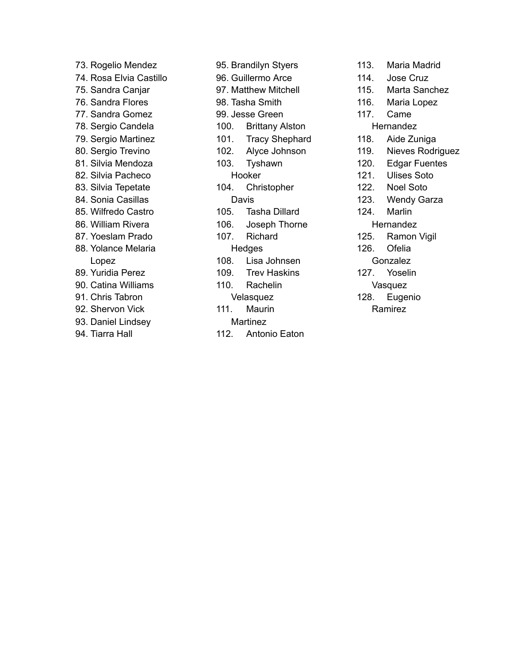73. Rogelio Mendez 74. Rosa Elvia Castillo 75. Sandra Canjar 76. Sandra Flores 77. Sandra Gomez 78. Sergio Candela 79. Sergio Martinez 80. Sergio Trevino 81. Silvia Mendoza 82. Silvia Pacheco 83. Silvia Tepetate 84. Sonia Casillas 85. Wilfredo Castro 86. William Rivera 87. Yoeslam Prado 88. Yolance Melaria Lopez 89. Yuridia Perez 90. Catina Williams 91. Chris Tabron 92. Shervon Vick 93. Daniel Lindsey 94. Tiarra Hall

95. Brandilyn Styers 96. Guillermo Arce 97. Matthew Mitchell 98. Tasha Smith 99. Jesse Green 100. Brittany Alston 101. Tracy Shephard 102. Alyce Johnson 103. Tyshawn Hooker 104. Christopher Davis 105. Tasha Dillard 106. Joseph Thorne 107. Richard **Hedges** 108. Lisa Johnsen 109. Trev Haskins 110. Rachelin Velasquez 111. Maurin Martinez 112. Antonio Eaton

113. Maria Madrid 114. Jose Cruz 115. Marta Sanchez 116. Maria Lopez 117. Came Hernandez 118. Aide Zuniga 119. Nieves Rodriguez 120. Edgar Fuentes 121. Ulises Soto 122. Noel Soto 123. Wendy Garza 124. Marlin **Hernandez** 125. Ramon Vigil 126. Ofelia Gonzalez 127. Yoselin Vasquez 128. Eugenio Ramirez